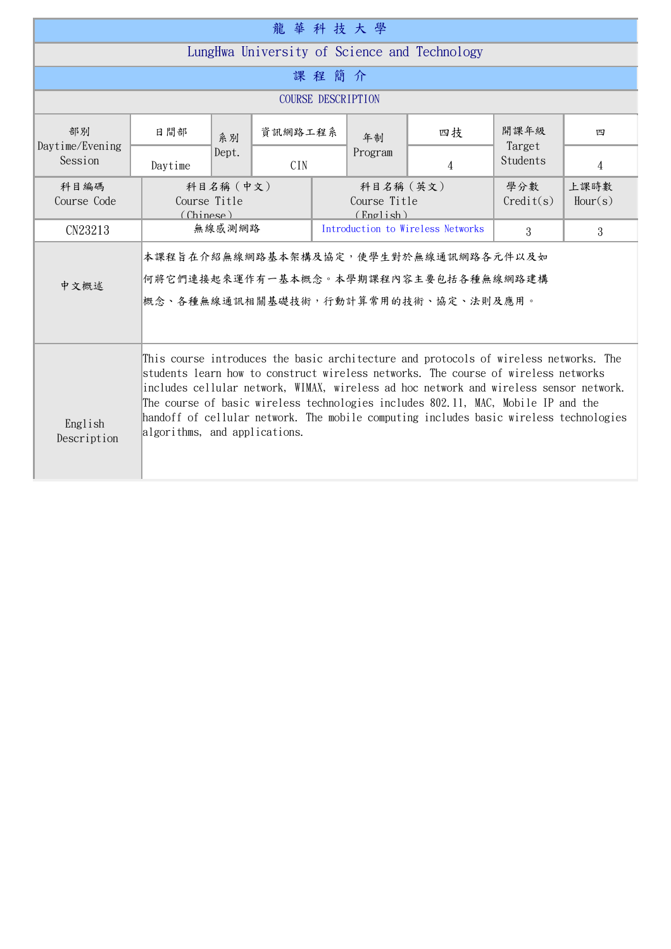| 龍華科技大學                                       |                                                                                                                                                                                                                                                                                                                                                                                                                                                                                       |                                                                                                                     |            |    |                                       |                |                  |                 |  |  |
|----------------------------------------------|---------------------------------------------------------------------------------------------------------------------------------------------------------------------------------------------------------------------------------------------------------------------------------------------------------------------------------------------------------------------------------------------------------------------------------------------------------------------------------------|---------------------------------------------------------------------------------------------------------------------|------------|----|---------------------------------------|----------------|------------------|-----------------|--|--|
| LungHwa University of Science and Technology |                                                                                                                                                                                                                                                                                                                                                                                                                                                                                       |                                                                                                                     |            |    |                                       |                |                  |                 |  |  |
| 課程簡介                                         |                                                                                                                                                                                                                                                                                                                                                                                                                                                                                       |                                                                                                                     |            |    |                                       |                |                  |                 |  |  |
| <b>COURSE DESCRIPTION</b>                    |                                                                                                                                                                                                                                                                                                                                                                                                                                                                                       |                                                                                                                     |            |    |                                       |                |                  |                 |  |  |
| 部別<br>Daytime/Evening                        | 日間部                                                                                                                                                                                                                                                                                                                                                                                                                                                                                   | 系別<br>Dept.                                                                                                         | 資訊網路工程系    | 年制 |                                       | 四技             | 開課年級<br>Target   | 四               |  |  |
| Session                                      | Daytime                                                                                                                                                                                                                                                                                                                                                                                                                                                                               |                                                                                                                     | <b>CIN</b> |    | Program                               | $\overline{4}$ | Students         | 4               |  |  |
| 科目編碼<br>Course Code                          |                                                                                                                                                                                                                                                                                                                                                                                                                                                                                       | 科目名稱 (中文)<br>Course Title<br>(Chinese)                                                                              |            |    | 科目名稱 (英文)<br>Course Title<br>(Endish) |                | 學分數<br>Credit(s) | 上課時數<br>Hour(s) |  |  |
| CN23213                                      |                                                                                                                                                                                                                                                                                                                                                                                                                                                                                       | 無線感測網路                                                                                                              |            |    | Introduction to Wireless Networks     |                |                  | 3               |  |  |
| 中文概述                                         |                                                                                                                                                                                                                                                                                                                                                                                                                                                                                       | 本課程旨在介紹無線網路基本架構及協定,使學生對於無線通訊網路各元件以及如<br>何將它們連接起來運作有一基本概念。本學期課程內容主要包括各種無線網路建構<br>概念、各種無線通訊相關基礎技術,行動計算常用的技術、協定、法則及應用。 |            |    |                                       |                |                  |                 |  |  |
| English<br>Description                       | This course introduces the basic architecture and protocols of wireless networks. The<br>students learn how to construct wireless networks. The course of wireless networks<br>includes cellular network, WIMAX, wireless ad hoc network and wireless sensor network.<br>The course of basic wireless technologies includes 802.11, MAC, Mobile IP and the<br>handoff of cellular network. The mobile computing includes basic wireless technologies<br>algorithms, and applications. |                                                                                                                     |            |    |                                       |                |                  |                 |  |  |